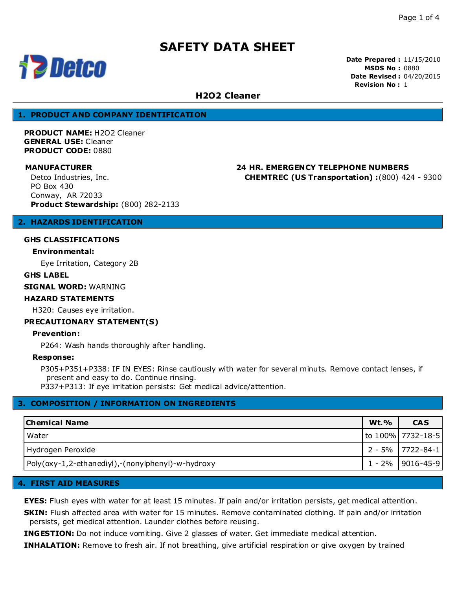

**Date Prepared :** 11/15/2010 **MSDS No :** 0880 **Date Revised :** 04/20/2015 **Revision No :** 1

# **H2O2 Cleaner**

### **1. PRODUCT AND COMPANY IDENTIFICATION**

**PRODUCT NAME:** H2O2 Cleaner **GENERAL USE:** Cleaner **PRODUCT CODE:** 0880

**MANUFACTURER 24 HR. EMERGENCY TELEPHONE NUMBERS CHEMTREC (US Transportation) :**(800) 424 - 9300

Detco Industries, Inc. PO Box 430 Conway, AR 72033

**Product Stewardship:** (800) 282-2133

## **2. HAZARDS IDENTIFICATION**

### **GHS CLASSIFICATIONS**

#### **Environmental:**

Eye Irritation, Category 2B

#### **GHS LABEL**

**SIGNAL WORD:** WARNING

### **HAZARD STATEMENTS**

H320: Causes eye irritation.

#### **PRECAUTIONARY STATEMENT(S)**

#### **Prevention:**

P264: Wash hands thoroughly after handling.

#### **Response:**

P305+P351+P338: IF IN EYES: Rinse cautiously with water for several minuts. Remove contact lenses, if present and easy to do. Continue rinsing.

P337+P313: If eye irritation persists: Get medical advice/attention.

# **3. COMPOSITION / INFORMATION ON INGREDIENTS**

| <b>Chemical Name</b>                              | <b>Wt.%</b> | <b>CAS</b>         |
|---------------------------------------------------|-------------|--------------------|
| Water                                             |             | to 100% 7732-18-5  |
| Hydrogen Peroxide                                 |             | 2 - 5%   7722-84-1 |
| Poly(oxy-1,2-ethanediyl),-(nonylphenyl)-w-hydroxy |             | 1 - 2%   9016-45-9 |

#### **4. FIRST AID MEASURES**

**EYES:** Flush eyes with water for at least 15 minutes. If pain and/or irritation persists, get medical attention.

**SKIN:** Flush affected area with water for 15 minutes. Remove contaminated clothing. If pain and/or irritation persists, get medical attention. Launder clothes before reusing.

**INGESTION:** Do not induce vomiting. Give 2 glasses of water. Get immediate medical attention.

**INHALATION:** Remove to fresh air. If not breathing, give artificial respiration or give oxygen by trained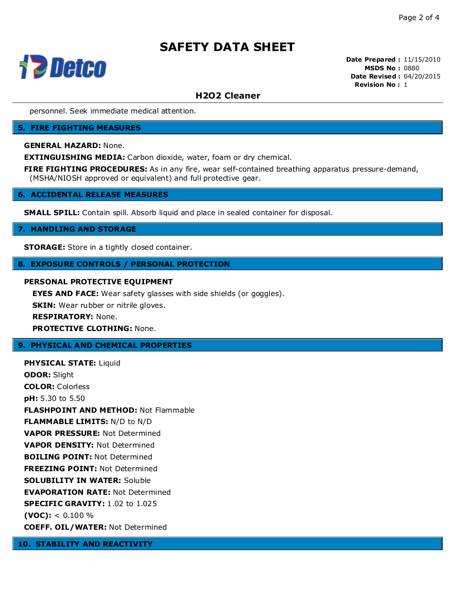

**Date Prepared :** 11/15/2010 **MSDS No :** 0880 **Date Revised :** 04/20/2015 **Revision No :** 1

# **H2O2 Cleaner**

personnel. Seek immediate medical attention.

#### **5. FIRE FIGHTING MEASURES**

**GENERAL HAZARD:** None.

**EXTINGUISHING MEDIA:** Carbon dioxide, water, foam or dry chemical.

**FIRE FIGHTING PROCEDURES:** As in any fire, wear self-contained breathing apparatus pressure-demand, (MSHA/NIOSH approved or equivalent) and full protective gear.

#### **6. ACCIDENTAL RELEASE MEASURES**

**SMALL SPILL:** Contain spill. Absorb liquid and place in sealed container for disposal.

#### **7. HANDLING AND STORAGE**

**STORAGE:** Store in a tightly closed container.

#### **8. EXPOSURE CONTROLS / PERSONAL PROTECTION**

### **PERSONAL PROTECTIVE EQUIPMENT**

**EYES AND FACE:** Wear safety glasses with side shields (or goggles).

**SKIN:** Wear rubber or nitrile gloves.

**RESPIRATORY:** None.

**PROTECTIVE CLOTHING:** None.

#### **9. PHYSICAL AND CHEMICAL PROPERTIES**

**PHYSICAL STATE:** Liquid **ODOR:** Slight **COLOR:** Colorless **pH:** 5.30 to 5.50 **FLASHPOINT AND METHOD:** Not Flammable **FLAMMABLE LIMITS:** N/D to N/D **VAPOR PRESSURE:** Not Determined **VAPOR DENSITY:** Not Determined **BOILING POINT:** Not Determined **FREEZING POINT:** Not Determined **SOLUBILITY IN WATER:** Soluble **EVAPORATION RATE:** Not Determined **SPECIFIC GRAVITY:** 1.02 to 1.025  $(VOC):$  < 0.100 % **COEFF. OIL/WATER:** Not Determined

**10. STABILITY AND REACTIVITY**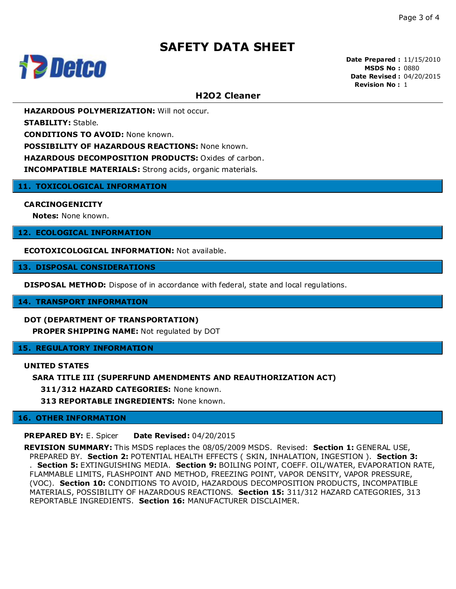

**Date Prepared :** 11/15/2010 **MSDS No :** 0880 **Date Revised :** 04/20/2015 **Revision No :** 1

# **H2O2 Cleaner**

**HAZARDOUS POLYMERIZATION:** Will not occur.

**STABILITY:** Stable.

**CONDITIONS TO AVOID:** None known.

**POSSIBILITY OF HAZARDOUS REACTIONS:** None known.

**HAZARDOUS DECOMPOSITION PRODUCTS:** Oxides of carbon.

**INCOMPATIBLE MATERIALS:** Strong acids, organic materials.

#### **11. TOXICOLOGICAL INFORMATION**

#### **CARCINOGENICITY**

**Notes:** None known.

#### **12. ECOLOGICAL INFORMATION**

**ECOTOXICOLOGICAL INFORMATION:** Not available.

#### **13. DISPOSAL CONSIDERATIONS**

**DISPOSAL METHOD:** Dispose of in accordance with federal, state and local regulations.

#### **14. TRANSPORT INFORMATION**

#### **DOT (DEPARTMENT OF TRANSPORTATION)**

**PROPER SHIPPING NAME:** Not regulated by DOT

### **15. REGULATORY INFORMATION**

#### **UNITED STATES**

#### **SARA TITLE III (SUPERFUND AMENDMENTS AND REAUTHORIZATION ACT)**

**311/312 HAZARD CATEGORIES:** None known.

**313 REPORTABLE INGREDIENTS:** None known.

#### **16. OTHER INFORMATION**

**PREPARED BY:** E. Spicer **Date Revised:** 04/20/2015

**REVISION SUMMARY:** This MSDS replaces the 08/05/2009 MSDS. Revised: **Section 1:** GENERAL USE, PREPARED BY. **Section 2:** POTENTIAL HEALTH EFFECTS ( SKIN, INHALATION, INGESTION ). **Section 3:** . **Section 5:** EXTINGUISHING MEDIA. **Section 9:** BOILING POINT, COEFF. OIL/WATER, EVAPORATION RATE, FLAMMABLE LIMITS, FLASHPOINT AND METHOD, FREEZING POINT, VAPOR DENSITY, VAPOR PRESSURE, (VOC). **Section 10:** CONDITIONS TO AVOID, HAZARDOUS DECOMPOSITION PRODUCTS, INCOMPATIBLE MATERIALS, POSSIBILITY OF HAZARDOUS REACTIONS. **Section 15:** 311/312 HAZARD CATEGORIES, 313 REPORTABLE INGREDIENTS. **Section 16:** MANUFACTURER DISCLAIMER.